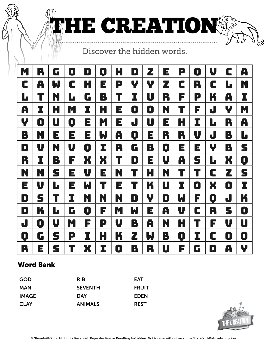

HE CREATION®

| Ň. | R | G                       | D | D | $\mathbf Q$ | Н | D | Z | $\Xi$ | P | $\blacksquare$ | V | C | A |
|----|---|-------------------------|---|---|-------------|---|---|---|-------|---|----------------|---|---|---|
| C  | A | W                       | C | H | E           | P | Y | Y | Z     | C | R              | C | L | N |
| Ŀ  | T | N                       | Ŀ | G | B           | T | I | U | R     | F | P              | K | A | I |
| A  | I | H                       | M | I | H           | E | 0 | 0 | N     | T | F              | J | Y | M |
| Y  | 0 | U                       | 0 | E | M           | E | J | U | $\Xi$ | Н | I              | L | R | A |
| B  | N | E                       | E | E | W           | A | 0 | E | R     | R | V              | J | B | L |
| D  | V | N                       | V | 0 | I           | R | G | B | 0     | E | E              | Y | B | S |
| R  | I | B                       | F | X | X           | T | D | E | V     | A | S              | L | X | 0 |
| N  | N | S                       | E | V | E           | N | T | H | N     | T | T              | C | Z | S |
| E  | V | L                       | E | W | $\mathbf T$ | E | T | K | U     | I | 0              | X | O | I |
| D  | S | $\overline{\mathsf{L}}$ | I | N | N           | N | D | Y | D     | W | F              | O | J | K |
| D  | K | Ŀ                       | G | 0 | F           | M | W | E | A     | V | C              | R | S | 0 |
| J  | 0 | V                       | M | F | P           | V | B | A | N     | H | T              | F | V | U |
| 0  | G | S                       | P | I | Н           | K | Z | W | B     | 0 | I              | C | O | 0 |
| R  | Е | S                       | T | X | I           | 0 | B | R | U     | F | G              | D | A | Y |

## Word Bank

| <b>GOD</b>  | <b>RIB</b>     | <b>EAT</b>   |
|-------------|----------------|--------------|
| <b>MAN</b>  | <b>SEVENTH</b> | <b>FRUIT</b> |
| IMAGE       | <b>DAY</b>     | <b>EDEN</b>  |
| <b>CLAY</b> | <b>ANIMALS</b> | <b>REST</b>  |